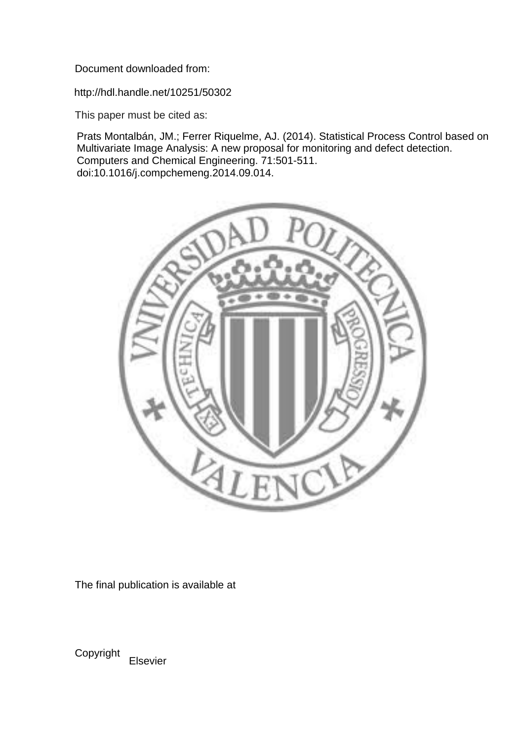Document downloaded from:

http://hdl.handle.net/10251/50302

This paper must be cited as:

Prats Montalbán, JM.; Ferrer Riquelme, AJ. (2014). Statistical Process Control based on Multivariate Image Analysis: A new proposal for monitoring and defect detection. Computers and Chemical Engineering. 71:501-511. doi:10.1016/j.compchemeng.2014.09.014.



The final publication is available at

Copyright

Elsevier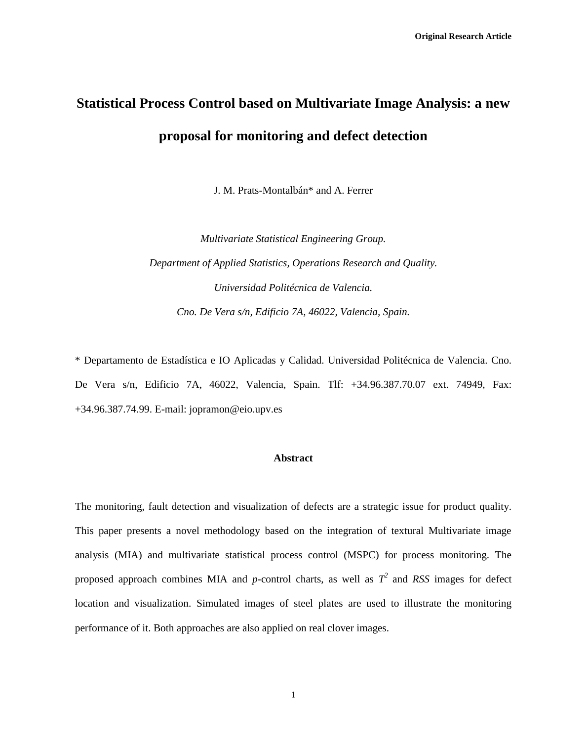# **Statistical Process Control based on Multivariate Image Analysis: a new proposal for monitoring and defect detection**

J. M. Prats-Montalbán\* and A. Ferrer

*Multivariate Statistical Engineering Group. Department of Applied Statistics, Operations Research and Quality. Universidad Politécnica de Valencia. Cno. De Vera s/n, Edificio 7A, 46022, Valencia, Spain.*

\* Departamento de Estadística e IO Aplicadas y Calidad. Universidad Politécnica de Valencia. Cno. De Vera s/n, Edificio 7A, 46022, Valencia, Spain. Tlf: +34.96.387.70.07 ext. 74949, Fax: +34.96.387.74.99. E-mail: [jopramon@eio.upv.es](mailto:jopramon@eio.upv.es)

# **Abstract**

The monitoring, fault detection and visualization of defects are a strategic issue for product quality. This paper presents a novel methodology based on the integration of textural Multivariate image analysis (MIA) and multivariate statistical process control (MSPC) for process monitoring. The proposed approach combines MIA and *p*-control charts, as well as  $T^2$  and RSS images for defect location and visualization. Simulated images of steel plates are used to illustrate the monitoring performance of it. Both approaches are also applied on real clover images.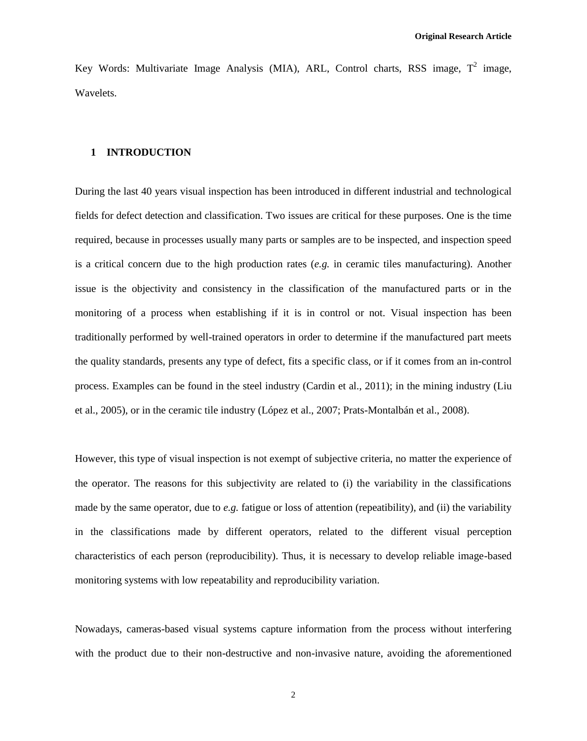Key Words: Multivariate Image Analysis (MIA), ARL, Control charts, RSS image,  $T^2$  image, Wavelets.

# **1 INTRODUCTION**

During the last 40 years visual inspection has been introduced in different industrial and technological fields for defect detection and classification. Two issues are critical for these purposes. One is the time required, because in processes usually many parts or samples are to be inspected, and inspection speed is a critical concern due to the high production rates (*e.g.* in ceramic tiles manufacturing). Another issue is the objectivity and consistency in the classification of the manufactured parts or in the monitoring of a process when establishing if it is in control or not. Visual inspection has been traditionally performed by well-trained operators in order to determine if the manufactured part meets the quality standards, presents any type of defect, fits a specific class, or if it comes from an in-control process. Examples can be found in the steel industry (Cardin et al., 2011); in the mining industry (Liu et al., 2005), or in the ceramic tile industry (López et al., 2007; Prats-Montalbán et al., 2008).

However, this type of visual inspection is not exempt of subjective criteria, no matter the experience of the operator. The reasons for this subjectivity are related to (i) the variability in the classifications made by the same operator, due to *e.g.* fatigue or loss of attention (repeatibility), and (ii) the variability in the classifications made by different operators, related to the different visual perception characteristics of each person (reproducibility). Thus, it is necessary to develop reliable image-based monitoring systems with low repeatability and reproducibility variation.

Nowadays, cameras-based visual systems capture information from the process without interfering with the product due to their non-destructive and non-invasive nature, avoiding the aforementioned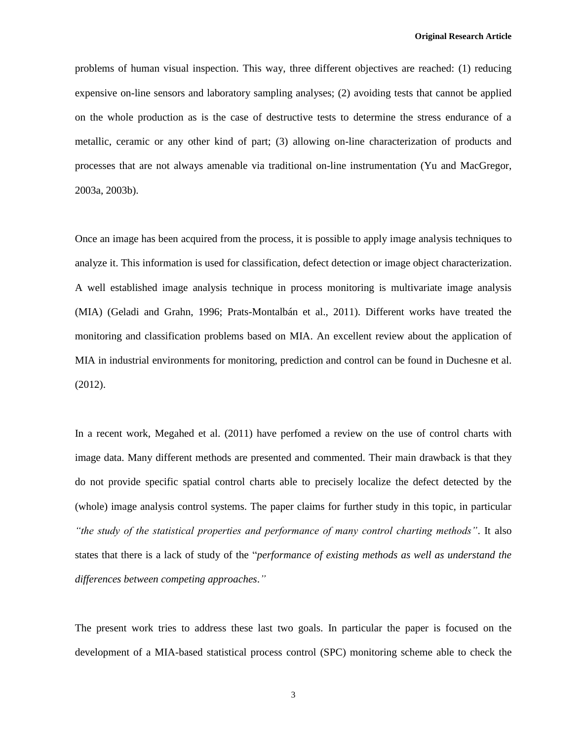problems of human visual inspection. This way, three different objectives are reached: (1) reducing expensive on-line sensors and laboratory sampling analyses; (2) avoiding tests that cannot be applied on the whole production as is the case of destructive tests to determine the stress endurance of a metallic, ceramic or any other kind of part; (3) allowing on-line characterization of products and processes that are not always amenable via traditional on-line instrumentation (Yu and MacGregor, 2003a, 2003b).

Once an image has been acquired from the process, it is possible to apply image analysis techniques to analyze it. This information is used for classification, defect detection or image object characterization. A well established image analysis technique in process monitoring is multivariate image analysis (MIA) (Geladi and Grahn, 1996; Prats-Montalbán et al., 2011). Different works have treated the monitoring and classification problems based on MIA. An excellent review about the application of MIA in industrial environments for monitoring, prediction and control can be found in Duchesne et al. (2012).

In a recent work, Megahed et al. (2011) have perfomed a review on the use of control charts with image data. Many different methods are presented and commented. Their main drawback is that they do not provide specific spatial control charts able to precisely localize the defect detected by the (whole) image analysis control systems. The paper claims for further study in this topic, in particular *"the study of the statistical properties and performance of many control charting methods"*. It also states that there is a lack of study of the "*performance of existing methods as well as understand the differences between competing approaches*.*"*

The present work tries to address these last two goals. In particular the paper is focused on the development of a MIA-based statistical process control (SPC) monitoring scheme able to check the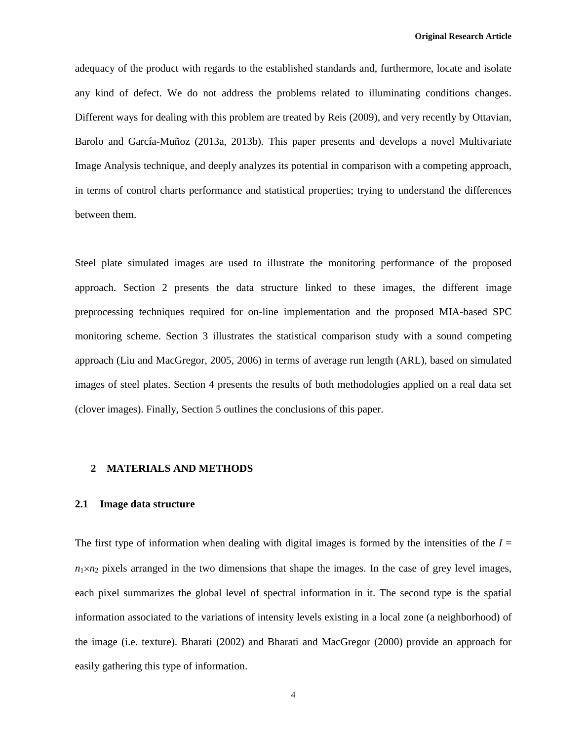adequacy of the product with regards to the established standards and, furthermore, locate and isolate any kind of defect. We do not address the problems related to illuminating conditions changes. Different ways for dealing with this problem are treated by Reis (2009), and very recently by Ottavian, Barolo and García-Muñoz (2013a, 2013b). This paper presents and develops a novel Multivariate Image Analysis technique, and deeply analyzes its potential in comparison with a competing approach, in terms of control charts performance and statistical properties; trying to understand the differences between them.

Steel plate simulated images are used to illustrate the monitoring performance of the proposed approach. Section 2 presents the data structure linked to these images, the different image preprocessing techniques required for on-line implementation and the proposed MIA-based SPC monitoring scheme. Section 3 illustrates the statistical comparison study with a sound competing approach (Liu and MacGregor, 2005, 2006) in terms of average run length (ARL), based on simulated images of steel plates. Section 4 presents the results of both methodologies applied on a real data set (clover images). Finally, Section 5 outlines the conclusions of this paper.

#### **2 MATERIALS AND METHODS**

#### **2.1 Image data structure**

The first type of information when dealing with digital images is formed by the intensities of the  $I =$  $n_1 \times n_2$  pixels arranged in the two dimensions that shape the images. In the case of grey level images, each pixel summarizes the global level of spectral information in it. The second type is the spatial information associated to the variations of intensity levels existing in a local zone (a neighborhood) of the image (i.e. texture). Bharati (2002) and Bharati and MacGregor (2000) provide an approach for easily gathering this type of information.

4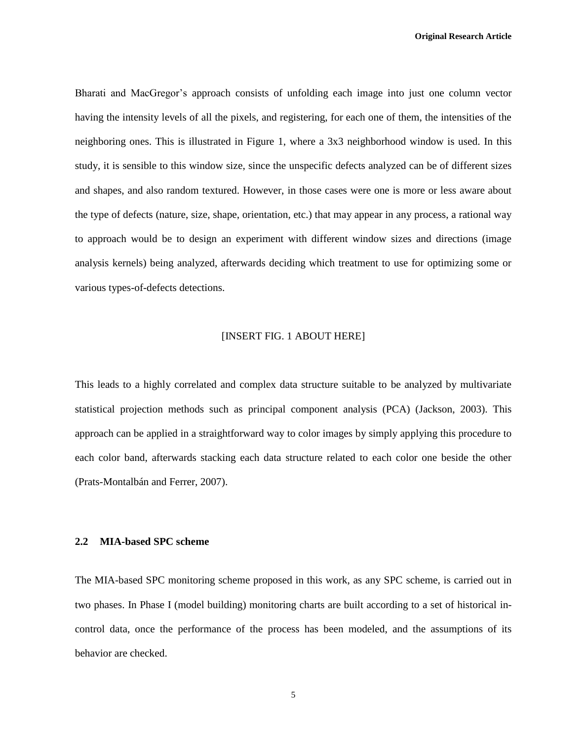Bharati and MacGregor's approach consists of unfolding each image into just one column vector having the intensity levels of all the pixels, and registering, for each one of them, the intensities of the neighboring ones. This is illustrated in Figure 1, where a 3x3 neighborhood window is used. In this study, it is sensible to this window size, since the unspecific defects analyzed can be of different sizes and shapes, and also random textured. However, in those cases were one is more or less aware about the type of defects (nature, size, shape, orientation, etc.) that may appear in any process, a rational way to approach would be to design an experiment with different window sizes and directions (image analysis kernels) being analyzed, afterwards deciding which treatment to use for optimizing some or various types-of-defects detections.

#### [INSERT FIG. 1 ABOUT HERE]

This leads to a highly correlated and complex data structure suitable to be analyzed by multivariate statistical projection methods such as principal component analysis (PCA) (Jackson, 2003). This approach can be applied in a straightforward way to color images by simply applying this procedure to each color band, afterwards stacking each data structure related to each color one beside the other (Prats-Montalbán and Ferrer, 2007).

# **2.2 MIA-based SPC scheme**

The MIA-based SPC monitoring scheme proposed in this work, as any SPC scheme, is carried out in two phases. In Phase I (model building) monitoring charts are built according to a set of historical incontrol data, once the performance of the process has been modeled, and the assumptions of its behavior are checked.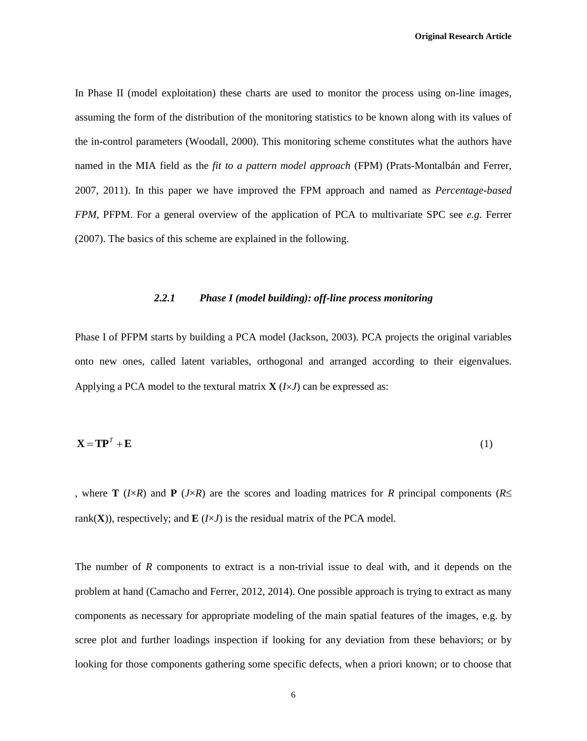In Phase II (model exploitation) these charts are used to monitor the process using on-line images, assuming the form of the distribution of the monitoring statistics to be known along with its values of the in-control parameters (Woodall, 2000). This monitoring scheme constitutes what the authors have named in the MIA field as the *fit to a pattern model approach* (FPM) (Prats-Montalbán and Ferrer, 2007, 2011). In this paper we have improved the FPM approach and named as *Percentage-based FPM*, PFPM. For a general overview of the application of PCA to multivariate SPC see *e.g*. Ferrer (2007). The basics of this scheme are explained in the following.

## *2.2.1 Phase I (model building): off-line process monitoring*

Phase I of PFPM starts by building a PCA model (Jackson, 2003). PCA projects the original variables onto new ones, called latent variables, orthogonal and arranged according to their eigenvalues. Applying a PCA model to the textural matrix  $\mathbf{X}$  ( $I \times J$ ) can be expressed as:

$$
\mathbf{X} = \mathbf{T}\mathbf{P}^T + \mathbf{E} \tag{1}
$$

, where **T** ( $I \times R$ ) and **P** ( $J \times R$ ) are the scores and loading matrices for *R* principal components ( $R \leq$ rank(**X**)), respectively; and **E** ( $I \times J$ ) is the residual matrix of the PCA model.

The number of *R* components to extract is a non-trivial issue to deal with, and it depends on the problem at hand (Camacho and Ferrer, 2012, 2014). One possible approach is trying to extract as many components as necessary for appropriate modeling of the main spatial features of the images, e.g. by scree plot and further loadings inspection if looking for any deviation from these behaviors; or by looking for those components gathering some specific defects, when a priori known; or to choose that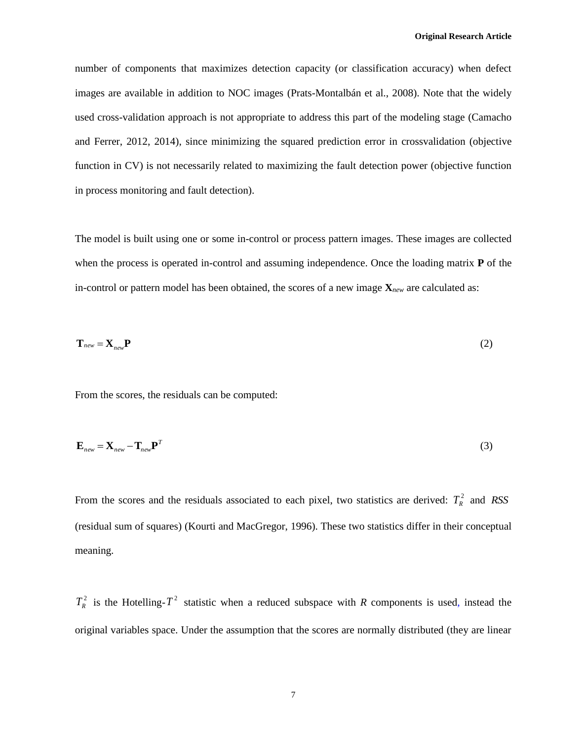number of components that maximizes detection capacity (or classification accuracy) when defect images are available in addition to NOC images (Prats-Montalbán et al., 2008). Note that the widely used cross-validation approach is not appropriate to address this part of the modeling stage (Camacho and Ferrer, 2012, 2014), since minimizing the squared prediction error in crossvalidation (objective function in CV) is not necessarily related to maximizing the fault detection power (objective function in process monitoring and fault detection).

The model is built using one or some in-control or process pattern images. These images are collected when the process is operated in-control and assuming independence. Once the loading matrix **P** of the in-control or pattern model has been obtained, the scores of a new image **X***new* are calculated as:

$$
\mathbf{T}_{new} = \mathbf{X}_{new} \mathbf{P}
$$
 (2)

From the scores, the residuals can be computed:

$$
\mathbf{E}_{new} = \mathbf{X}_{new} - \mathbf{T}_{new} \mathbf{P}^T
$$
 (3)

From the scores and the residuals associated to each pixel, two statistics are derived:  $T_R^2$  and RSS (residual sum of squares) (Kourti and MacGregor, 1996). These two statistics differ in their conceptual meaning.

 $T_R^2$  is the Hotelling- $T^2$  statistic when a reduced subspace with *R* components is used, instead the original variables space. Under the assumption that the scores are normally distributed (they are linear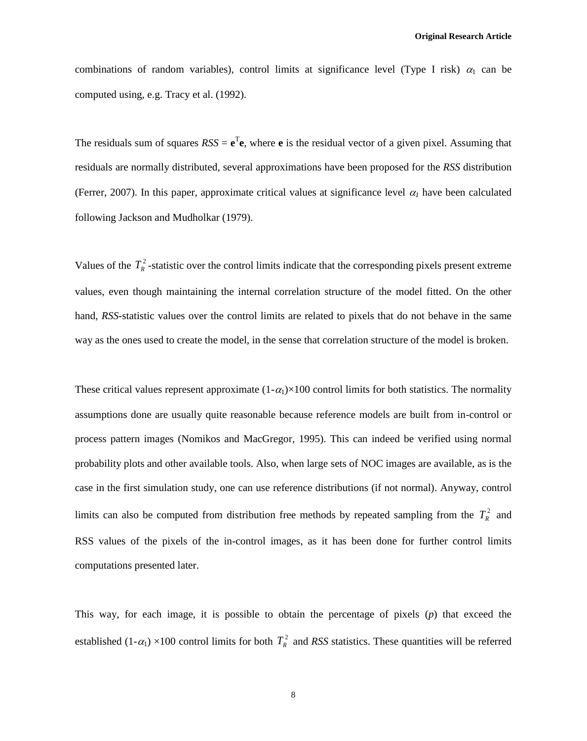combinations of random variables), control limits at significance level (Type I risk)  $\alpha_1$  can be computed using, e.g. Tracy et al. (1992).

The residuals sum of squares  $RSS = e^T e$ , where **e** is the residual vector of a given pixel. Assuming that residuals are normally distributed, several approximations have been proposed for the *RSS* distribution (Ferrer, 2007). In this paper, approximate critical values at significance level  $\alpha_l$  have been calculated following Jackson and Mudholkar (1979).

Values of the  $T_R^2$ -statistic over the control limits indicate that the corresponding pixels present extreme values, even though maintaining the internal correlation structure of the model fitted. On the other hand, *RSS-*statistic values over the control limits are related to pixels that do not behave in the same way as the ones used to create the model, in the sense that correlation structure of the model is broken.

These critical values represent approximate  $(1-\alpha_1)\times 100$  control limits for both statistics. The normality assumptions done are usually quite reasonable because reference models are built from in-control or process pattern images (Nomikos and MacGregor, 1995). This can indeed be verified using normal probability plots and other available tools. Also, when large sets of NOC images are available, as is the case in the first simulation study, one can use reference distributions (if not normal). Anyway, control limits can also be computed from distribution free methods by repeated sampling from the  $T_R^2$  and RSS values of the pixels of the in-control images, as it has been done for further control limits computations presented later.

This way, for each image, it is possible to obtain the percentage of pixels (*p*) that exceed the established  $(1-\alpha_1) \times 100$  control limits for both  $T_R^2$  and *RSS* statistics. These quantities will be referred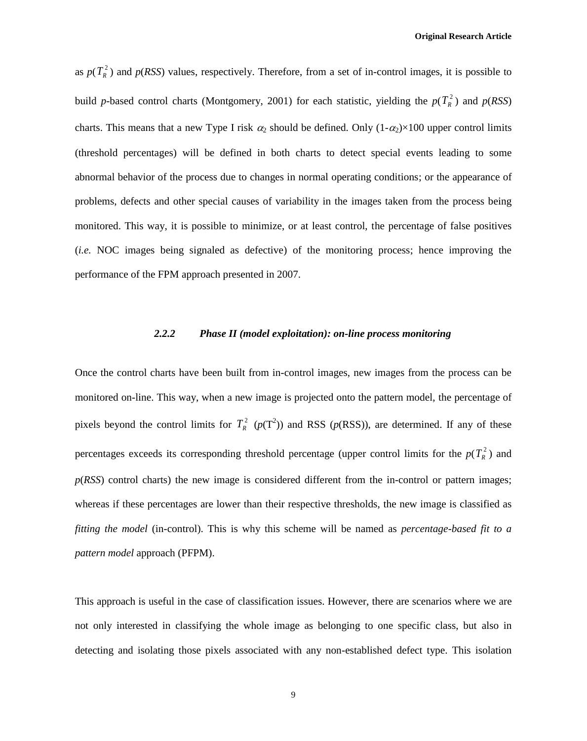as  $p(T_R^2)$  and  $p(RSS)$  values, respectively. Therefore, from a set of in-control images, it is possible to build *p*-based control charts (Montgomery, 2001) for each statistic, yielding the  $p(T_R^2)$  and  $p(RSS)$ charts. This means that a new Type I risk  $\alpha_2$  should be defined. Only  $(1-\alpha_2)\times 100$  upper control limits (threshold percentages) will be defined in both charts to detect special events leading to some abnormal behavior of the process due to changes in normal operating conditions; or the appearance of problems, defects and other special causes of variability in the images taken from the process being monitored. This way, it is possible to minimize, or at least control, the percentage of false positives (*i.e.* NOC images being signaled as defective) of the monitoring process; hence improving the performance of the FPM approach presented in 2007.

# *2.2.2 Phase II (model exploitation): on-line process monitoring*

Once the control charts have been built from in-control images, new images from the process can be monitored on-line. This way, when a new image is projected onto the pattern model, the percentage of pixels beyond the control limits for  $T_R^2$  ( $p(T^2)$ ) and RSS ( $p(RSS)$ ), are determined. If any of these percentages exceeds its corresponding threshold percentage (upper control limits for the  $p(T_R^2)$ ) and *p*(*RSS*) control charts) the new image is considered different from the in-control or pattern images; whereas if these percentages are lower than their respective thresholds, the new image is classified as *fitting the model* (in-control). This is why this scheme will be named as *percentage-based fit to a pattern model* approach (PFPM).

This approach is useful in the case of classification issues. However, there are scenarios where we are not only interested in classifying the whole image as belonging to one specific class, but also in detecting and isolating those pixels associated with any non-established defect type. This isolation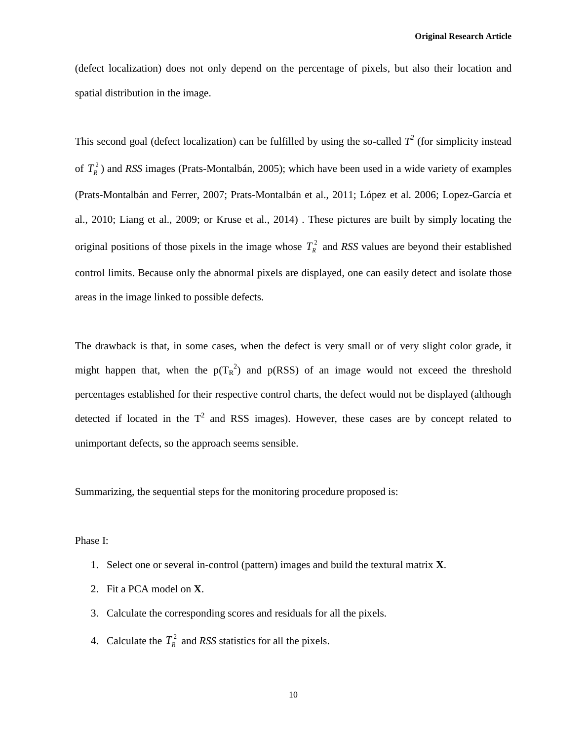(defect localization) does not only depend on the percentage of pixels, but also their location and spatial distribution in the image.

This second goal (defect localization) can be fulfilled by using the so-called  $T^2$  (for simplicity instead of 2 *TR* ) and *RSS* images (Prats-Montalbán, 2005); which have been used in a wide variety of examples (Prats-Montalbán and Ferrer, 2007; Prats-Montalbán et al., 2011; López et al. 2006; Lopez-García et al., 2010; Liang et al., 2009; or Kruse et al., 2014) . These pictures are built by simply locating the original positions of those pixels in the image whose  $T_R^2$  and *RSS* values are beyond their established control limits. Because only the abnormal pixels are displayed, one can easily detect and isolate those areas in the image linked to possible defects.

The drawback is that, in some cases, when the defect is very small or of very slight color grade, it might happen that, when the  $p(T_R^2)$  and  $p(RSS)$  of an image would not exceed the threshold percentages established for their respective control charts, the defect would not be displayed (although detected if located in the  $T^2$  and RSS images). However, these cases are by concept related to unimportant defects, so the approach seems sensible.

Summarizing, the sequential steps for the monitoring procedure proposed is:

Phase I:

- 1. Select one or several in-control (pattern) images and build the textural matrix **X**.
- 2. Fit a PCA model on **X**.
- 3. Calculate the corresponding scores and residuals for all the pixels.
- 4. Calculate the  $T_R^2$  and *RSS* statistics for all the pixels.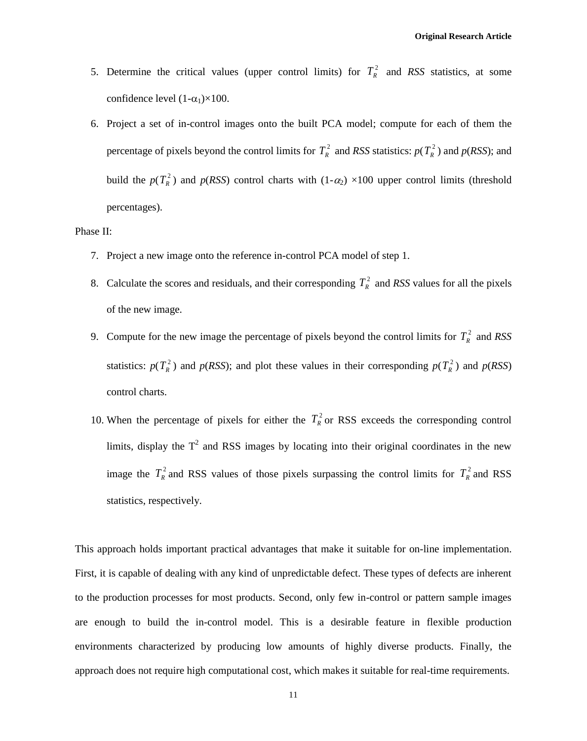- 5. Determine the critical values (upper control limits) for  $T_R^2$  and RSS statistics, at some confidence level  $(1-\alpha_1)\times 100$ .
- 6. Project a set of in-control images onto the built PCA model; compute for each of them the percentage of pixels beyond the control limits for  $T_R^2$  and RSS statistics:  $p(T_R^2)$  and  $p(RSS)$ ; and build the  $p(T_R^2)$  and  $p(RSS)$  control charts with  $(1-\alpha_2) \times 100$  upper control limits (threshold percentages).

#### Phase II:

- 7. Project a new image onto the reference in-control PCA model of step 1.
- 8. Calculate the scores and residuals, and their corresponding  $T_R^2$  and *RSS* values for all the pixels of the new image.
- 9. Compute for the new image the percentage of pixels beyond the control limits for  $T_R^2$  and RSS statistics:  $p(T_R^2)$  and  $p(RSS)$ ; and plot these values in their corresponding  $p(T_R^2)$  and  $p(RSS)$ control charts.
- 10. When the percentage of pixels for either the  $T_R^2$  or RSS exceeds the corresponding control limits, display the  $T^2$  and RSS images by locating into their original coordinates in the new image the  $T_R^2$  and RSS values of those pixels surpassing the control limits for  $T_R^2$  and RSS statistics, respectively.

This approach holds important practical advantages that make it suitable for on-line implementation. First, it is capable of dealing with any kind of unpredictable defect. These types of defects are inherent to the production processes for most products. Second, only few in-control or pattern sample images are enough to build the in-control model. This is a desirable feature in flexible production environments characterized by producing low amounts of highly diverse products. Finally, the approach does not require high computational cost, which makes it suitable for real-time requirements.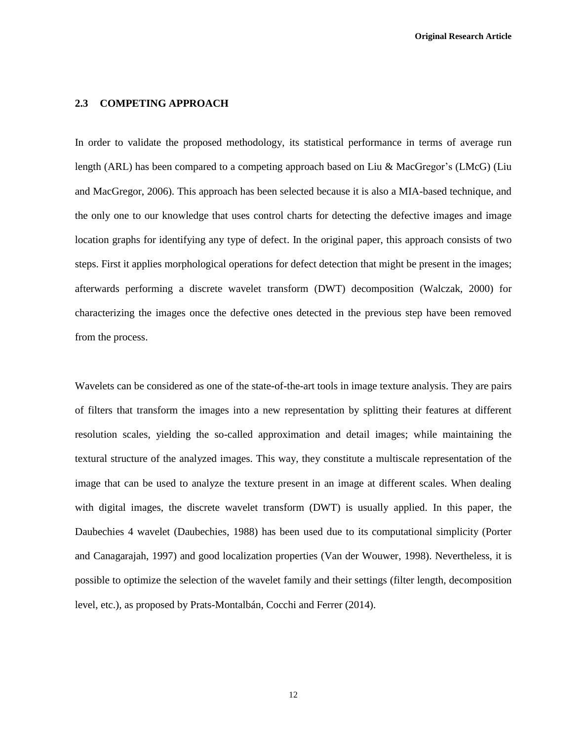# **2.3 COMPETING APPROACH**

In order to validate the proposed methodology, its statistical performance in terms of average run length (ARL) has been compared to a competing approach based on Liu & MacGregor's (LMcG) (Liu and MacGregor, 2006). This approach has been selected because it is also a MIA-based technique, and the only one to our knowledge that uses control charts for detecting the defective images and image location graphs for identifying any type of defect. In the original paper, this approach consists of two steps. First it applies morphological operations for defect detection that might be present in the images; afterwards performing a discrete wavelet transform (DWT) decomposition (Walczak, 2000) for characterizing the images once the defective ones detected in the previous step have been removed from the process.

Wavelets can be considered as one of the state-of-the-art tools in image texture analysis. They are pairs of filters that transform the images into a new representation by splitting their features at different resolution scales, yielding the so-called approximation and detail images; while maintaining the textural structure of the analyzed images. This way, they constitute a multiscale representation of the image that can be used to analyze the texture present in an image at different scales. When dealing with digital images, the discrete wavelet transform (DWT) is usually applied. In this paper, the Daubechies 4 wavelet (Daubechies, 1988) has been used due to its computational simplicity (Porter and Canagarajah, 1997) and good localization properties (Van der Wouwer, 1998). Nevertheless, it is possible to optimize the selection of the wavelet family and their settings (filter length, decomposition level, etc.), as proposed by Prats-Montalbán, Cocchi and Ferrer (2014).

12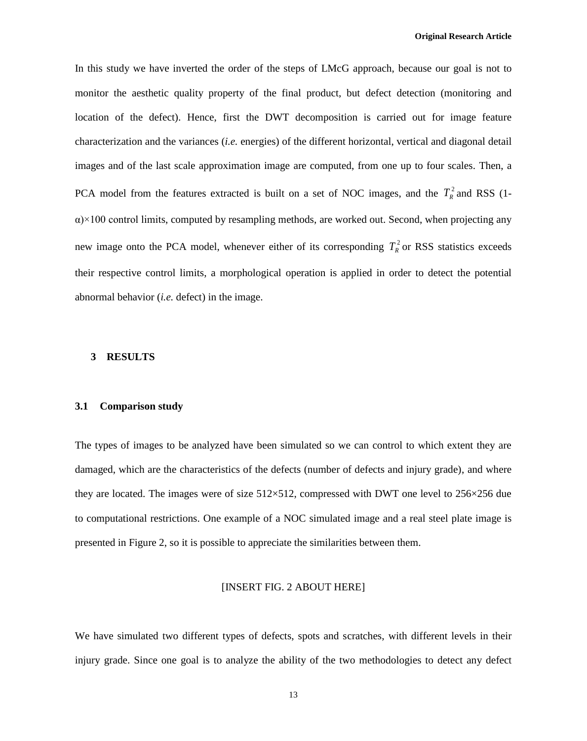In this study we have inverted the order of the steps of LMcG approach, because our goal is not to monitor the aesthetic quality property of the final product, but defect detection (monitoring and location of the defect). Hence, first the DWT decomposition is carried out for image feature characterization and the variances (*i.e.* energies) of the different horizontal, vertical and diagonal detail images and of the last scale approximation image are computed, from one up to four scales. Then, a PCA model from the features extracted is built on a set of NOC images, and the  $T_R^2$  and RSS (1- $\alpha$ )×100 control limits, computed by resampling methods, are worked out. Second, when projecting any new image onto the PCA model, whenever either of its corresponding  $T_R^2$  or RSS statistics exceeds their respective control limits, a morphological operation is applied in order to detect the potential abnormal behavior (*i.e.* defect) in the image.

# **3 RESULTS**

#### **3.1 Comparison study**

The types of images to be analyzed have been simulated so we can control to which extent they are damaged, which are the characteristics of the defects (number of defects and injury grade), and where they are located. The images were of size 512×512, compressed with DWT one level to 256×256 due to computational restrictions. One example of a NOC simulated image and a real steel plate image is presented in Figure 2, so it is possible to appreciate the similarities between them.

# [INSERT FIG. 2 ABOUT HERE]

We have simulated two different types of defects, spots and scratches, with different levels in their injury grade. Since one goal is to analyze the ability of the two methodologies to detect any defect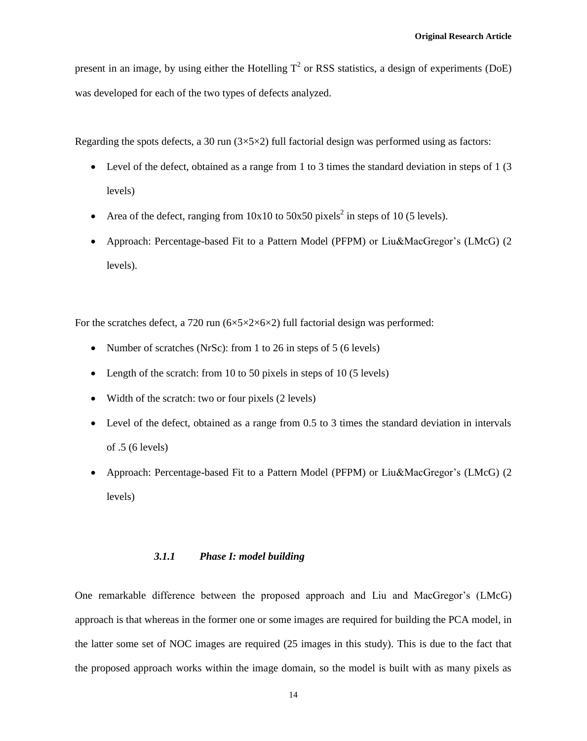present in an image, by using either the Hotelling  $T^2$  or RSS statistics, a design of experiments (DoE) was developed for each of the two types of defects analyzed.

Regarding the spots defects, a 30 run  $(3\times5\times2)$  full factorial design was performed using as factors:

- Level of the defect, obtained as a range from 1 to 3 times the standard deviation in steps of 1 (3) levels)
- Area of the defect, ranging from  $10x10$  to  $50x50$  pixels<sup>2</sup> in steps of 10 (5 levels).
- Approach: Percentage-based Fit to a Pattern Model (PFPM) or Liu&MacGregor's (LMcG) (2 levels).

For the scratches defect, a 720 run  $(6 \times 5 \times 2 \times 6 \times 2)$  full factorial design was performed:

- Number of scratches (NrSc): from 1 to 26 in steps of 5 (6 levels)
- Length of the scratch: from 10 to 50 pixels in steps of 10 (5 levels)
- Width of the scratch: two or four pixels (2 levels)
- Level of the defect, obtained as a range from 0.5 to 3 times the standard deviation in intervals of .5 (6 levels)
- Approach: Percentage-based Fit to a Pattern Model (PFPM) or Liu&MacGregor's (LMcG) (2 levels)

# *3.1.1 Phase I: model building*

One remarkable difference between the proposed approach and Liu and MacGregor's (LMcG) approach is that whereas in the former one or some images are required for building the PCA model, in the latter some set of NOC images are required (25 images in this study). This is due to the fact that the proposed approach works within the image domain, so the model is built with as many pixels as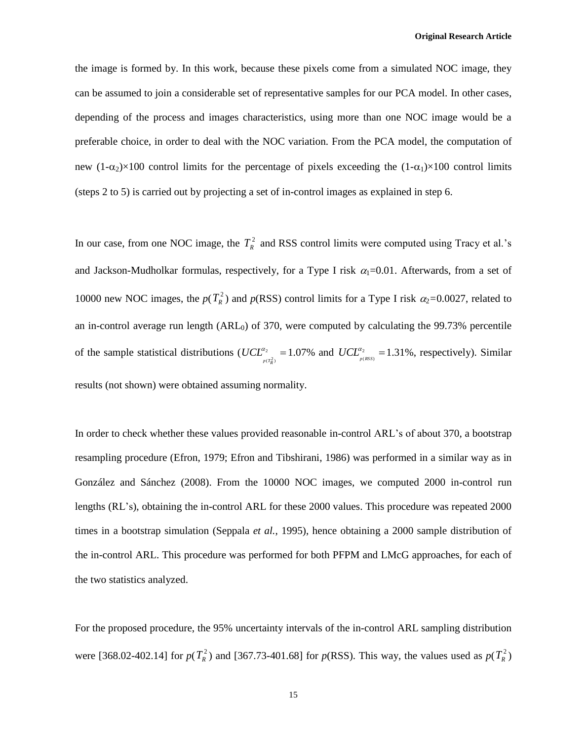the image is formed by. In this work, because these pixels come from a simulated NOC image, they can be assumed to join a considerable set of representative samples for our PCA model. In other cases, depending of the process and images characteristics, using more than one NOC image would be a preferable choice, in order to deal with the NOC variation. From the PCA model, the computation of new  $(1-\alpha_2)\times 100$  control limits for the percentage of pixels exceeding the  $(1-\alpha_1)\times 100$  control limits (steps 2 to 5) is carried out by projecting a set of in-control images as explained in step 6.

In our case, from one NOC image, the  $T_R^2$  and RSS control limits were computed using Tracy et al.'s and Jackson-Mudholkar formulas, respectively, for a Type I risk  $\alpha_1=0.01$ . Afterwards, from a set of 10000 new NOC images, the  $p(T_R^2)$  and  $p(RSS)$  control limits for a Type I risk  $\alpha_2$ =0.0027, related to an in-control average run length (ARL<sub>0</sub>) of 370, were computed by calculating the 99.73% percentile of the sample statistical distributions ( $UCL^{\alpha_2}$ ) =  $(T_p^2)$ α  $UCL^{\alpha_2}_{\frac{p(T_R^2)}{2}} = 1.07\%$  and  $UCL^{\alpha_2}_{\frac{p(RSS)}{2}} =$ (RSS) α  $UCL_{p(RSS)}^{\alpha_2} = 1.31\%$ , respectively). Similar results (not shown) were obtained assuming normality.

In order to check whether these values provided reasonable in-control ARL's of about 370, a bootstrap resampling procedure (Efron, 1979; Efron and Tibshirani, 1986) was performed in a similar way as in González and Sánchez (2008). From the 10000 NOC images, we computed 2000 in-control run lengths (RL's), obtaining the in-control ARL for these 2000 values. This procedure was repeated 2000 times in a bootstrap simulation (Seppala *et al.*, 1995), hence obtaining a 2000 sample distribution of the in-control ARL. This procedure was performed for both PFPM and LMcG approaches, for each of the two statistics analyzed.

For the proposed procedure, the 95% uncertainty intervals of the in-control ARL sampling distribution were [368.02-402.14] for  $p(T_R^2)$  and [367.73-401.68] for  $p(RSS)$ . This way, the values used as  $p(T_R^2)$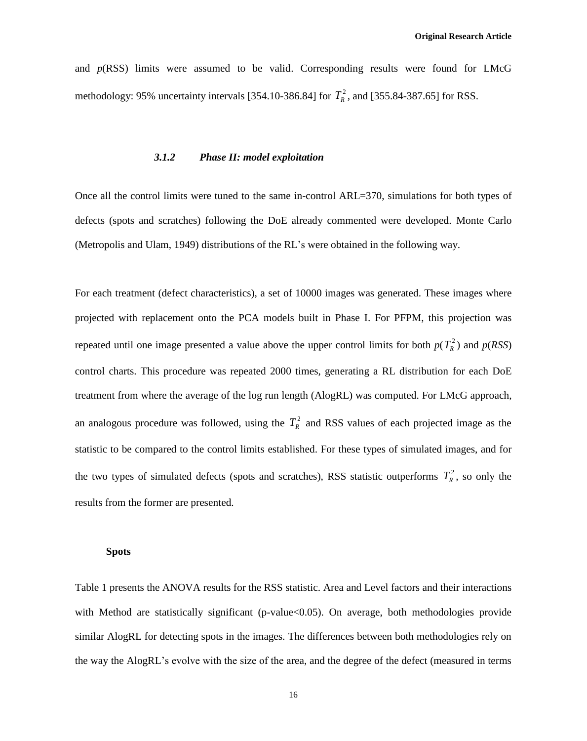and *p*(RSS) limits were assumed to be valid. Corresponding results were found for LMcG methodology: 95% uncertainty intervals [354.10-386.84] for  $T<sub>R</sub><sup>2</sup>$ , and [355.84-387.65] for RSS.

#### *3.1.2 Phase II: model exploitation*

Once all the control limits were tuned to the same in-control ARL=370, simulations for both types of defects (spots and scratches) following the DoE already commented were developed. Monte Carlo (Metropolis and Ulam, 1949) distributions of the RL's were obtained in the following way.

For each treatment (defect characteristics), a set of 10000 images was generated. These images where projected with replacement onto the PCA models built in Phase I. For PFPM, this projection was repeated until one image presented a value above the upper control limits for both  $p(T_R^2)$  and  $p(RSS)$ control charts. This procedure was repeated 2000 times, generating a RL distribution for each DoE treatment from where the average of the log run length (AlogRL) was computed. For LMcG approach, an analogous procedure was followed, using the  $T_R^2$  and RSS values of each projected image as the statistic to be compared to the control limits established. For these types of simulated images, and for the two types of simulated defects (spots and scratches), RSS statistic outperforms  $T_R^2$ , so only the results from the former are presented.

#### **Spots**

Table 1 presents the ANOVA results for the RSS statistic. Area and Level factors and their interactions with Method are statistically significant (p-value<0.05). On average, both methodologies provide similar AlogRL for detecting spots in the images. The differences between both methodologies rely on the way the AlogRL's evolve with the size of the area, and the degree of the defect (measured in terms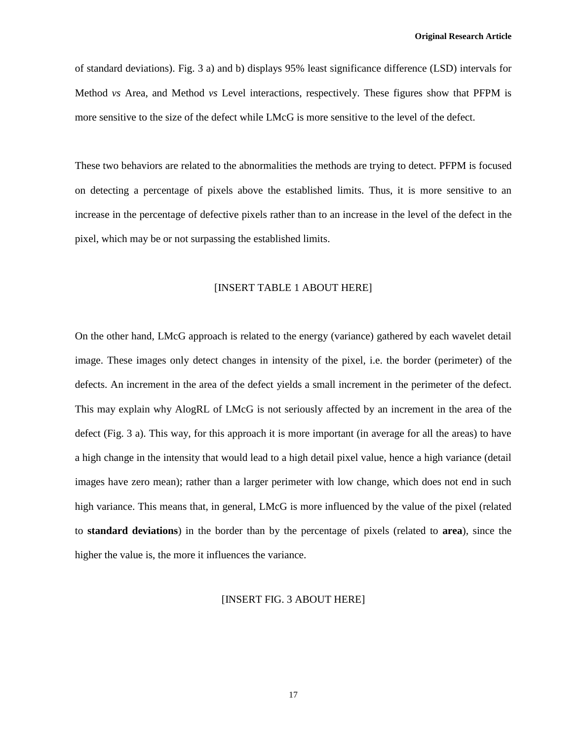of standard deviations). Fig. 3 a) and b) displays 95% least significance difference (LSD) intervals for Method *vs* Area, and Method *vs* Level interactions, respectively. These figures show that PFPM is more sensitive to the size of the defect while LMcG is more sensitive to the level of the defect.

These two behaviors are related to the abnormalities the methods are trying to detect. PFPM is focused on detecting a percentage of pixels above the established limits. Thus, it is more sensitive to an increase in the percentage of defective pixels rather than to an increase in the level of the defect in the pixel, which may be or not surpassing the established limits.

# [INSERT TABLE 1 ABOUT HERE]

On the other hand, LMcG approach is related to the energy (variance) gathered by each wavelet detail image. These images only detect changes in intensity of the pixel, i.e. the border (perimeter) of the defects. An increment in the area of the defect yields a small increment in the perimeter of the defect. This may explain why AlogRL of LMcG is not seriously affected by an increment in the area of the defect (Fig. 3 a). This way, for this approach it is more important (in average for all the areas) to have a high change in the intensity that would lead to a high detail pixel value, hence a high variance (detail images have zero mean); rather than a larger perimeter with low change, which does not end in such high variance. This means that, in general, LMcG is more influenced by the value of the pixel (related to **standard deviations**) in the border than by the percentage of pixels (related to **area**), since the higher the value is, the more it influences the variance.

#### [INSERT FIG. 3 ABOUT HERE]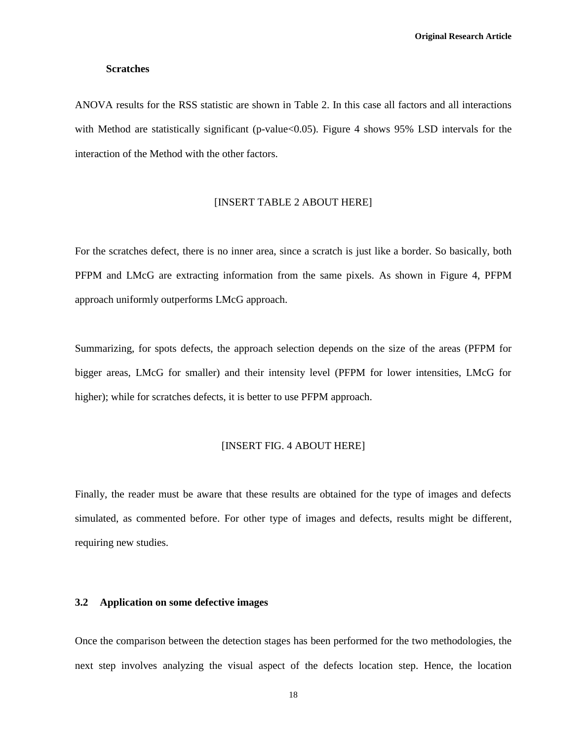#### **Scratches**

ANOVA results for the RSS statistic are shown in Table 2. In this case all factors and all interactions with Method are statistically significant (p-value  $0.05$ ). Figure 4 shows 95% LSD intervals for the interaction of the Method with the other factors.

#### [INSERT TABLE 2 ABOUT HERE]

For the scratches defect, there is no inner area, since a scratch is just like a border. So basically, both PFPM and LMcG are extracting information from the same pixels. As shown in Figure 4, PFPM approach uniformly outperforms LMcG approach.

Summarizing, for spots defects, the approach selection depends on the size of the areas (PFPM for bigger areas, LMcG for smaller) and their intensity level (PFPM for lower intensities, LMcG for higher); while for scratches defects, it is better to use PFPM approach.

### [INSERT FIG. 4 ABOUT HERE]

Finally, the reader must be aware that these results are obtained for the type of images and defects simulated, as commented before. For other type of images and defects, results might be different, requiring new studies.

#### **3.2 Application on some defective images**

Once the comparison between the detection stages has been performed for the two methodologies, the next step involves analyzing the visual aspect of the defects location step. Hence, the location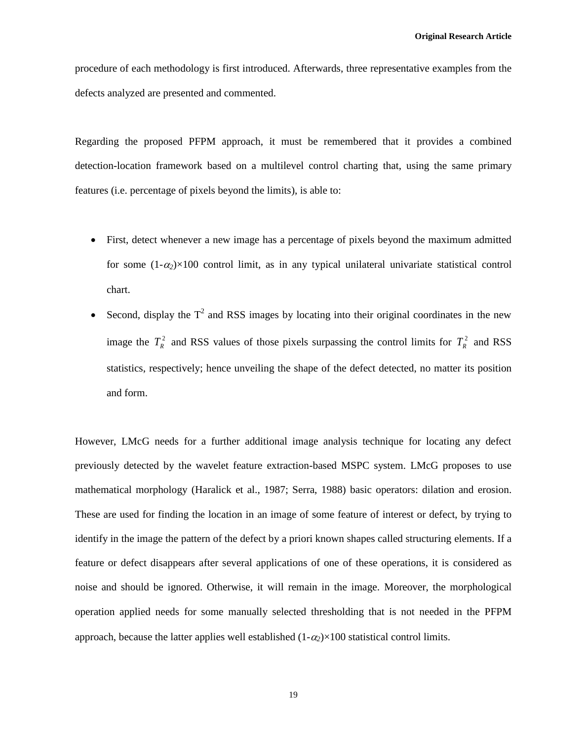procedure of each methodology is first introduced. Afterwards, three representative examples from the defects analyzed are presented and commented.

Regarding the proposed PFPM approach, it must be remembered that it provides a combined detection-location framework based on a multilevel control charting that, using the same primary features (i.e. percentage of pixels beyond the limits), is able to:

- First, detect whenever a new image has a percentage of pixels beyond the maximum admitted for some  $(1-\alpha_2)\times100$  control limit, as in any typical unilateral univariate statistical control chart.
- Second, display the  $T^2$  and RSS images by locating into their original coordinates in the new image the  $T_R^2$  and RSS values of those pixels surpassing the control limits for  $T_R^2$  and RSS statistics, respectively; hence unveiling the shape of the defect detected, no matter its position and form.

However, LMcG needs for a further additional image analysis technique for locating any defect previously detected by the wavelet feature extraction-based MSPC system. LMcG proposes to use mathematical morphology (Haralick et al., 1987; Serra, 1988) basic operators: dilation and erosion. These are used for finding the location in an image of some feature of interest or defect, by trying to identify in the image the pattern of the defect by a priori known shapes called structuring elements. If a feature or defect disappears after several applications of one of these operations, it is considered as noise and should be ignored. Otherwise, it will remain in the image. Moreover, the morphological operation applied needs for some manually selected thresholding that is not needed in the PFPM approach, because the latter applies well established  $(1-\alpha_2) \times 100$  statistical control limits.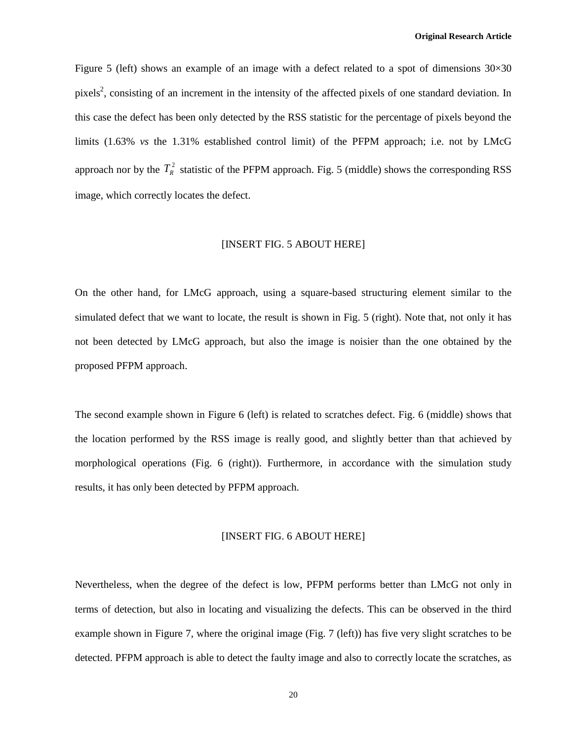Figure 5 (left) shows an example of an image with a defect related to a spot of dimensions 30×30 pixels<sup>2</sup>, consisting of an increment in the intensity of the affected pixels of one standard deviation. In this case the defect has been only detected by the RSS statistic for the percentage of pixels beyond the limits (1.63% *vs* the 1.31% established control limit) of the PFPM approach; i.e. not by LMcG approach nor by the  $T_R^2$  statistic of the PFPM approach. Fig. 5 (middle) shows the corresponding RSS image, which correctly locates the defect.

# [INSERT FIG. 5 ABOUT HERE]

On the other hand, for LMcG approach, using a square-based structuring element similar to the simulated defect that we want to locate, the result is shown in Fig. 5 (right). Note that, not only it has not been detected by LMcG approach, but also the image is noisier than the one obtained by the proposed PFPM approach.

The second example shown in Figure 6 (left) is related to scratches defect. Fig. 6 (middle) shows that the location performed by the RSS image is really good, and slightly better than that achieved by morphological operations (Fig. 6 (right)). Furthermore, in accordance with the simulation study results, it has only been detected by PFPM approach.

#### [INSERT FIG. 6 ABOUT HERE]

Nevertheless, when the degree of the defect is low, PFPM performs better than LMcG not only in terms of detection, but also in locating and visualizing the defects. This can be observed in the third example shown in Figure 7, where the original image (Fig. 7 (left)) has five very slight scratches to be detected. PFPM approach is able to detect the faulty image and also to correctly locate the scratches, as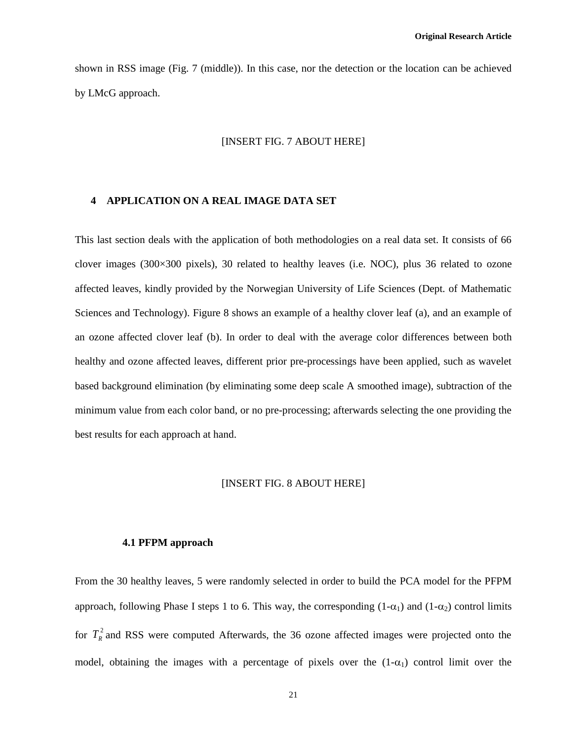shown in RSS image (Fig. 7 (middle)). In this case, nor the detection or the location can be achieved by LMcG approach.

# [INSERT FIG. 7 ABOUT HERE]

# **4 APPLICATION ON A REAL IMAGE DATA SET**

This last section deals with the application of both methodologies on a real data set. It consists of 66 clover images (300×300 pixels), 30 related to healthy leaves (i.e. NOC), plus 36 related to ozone affected leaves, kindly provided by the Norwegian University of Life Sciences (Dept. of Mathematic Sciences and Technology). Figure 8 shows an example of a healthy clover leaf (a), and an example of an ozone affected clover leaf (b). In order to deal with the average color differences between both healthy and ozone affected leaves, different prior pre-processings have been applied, such as wavelet based background elimination (by eliminating some deep scale A smoothed image), subtraction of the minimum value from each color band, or no pre-processing; afterwards selecting the one providing the best results for each approach at hand.

### [INSERT FIG. 8 ABOUT HERE]

#### **4.1 PFPM approach**

From the 30 healthy leaves, 5 were randomly selected in order to build the PCA model for the PFPM approach, following Phase I steps 1 to 6. This way, the corresponding  $(1-\alpha_1)$  and  $(1-\alpha_2)$  control limits for  $T_R^2$  and RSS were computed Afterwards, the 36 ozone affected images were projected onto the model, obtaining the images with a percentage of pixels over the  $(1-\alpha_1)$  control limit over the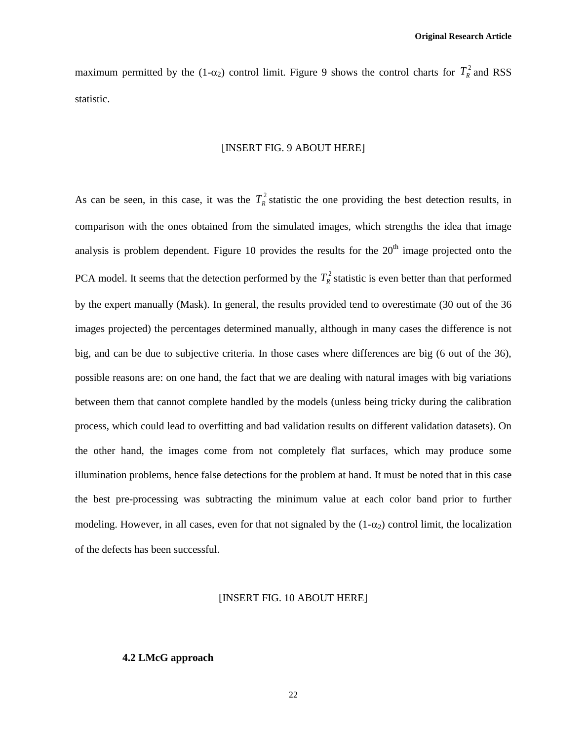maximum permitted by the (1- $\alpha_2$ ) control limit. Figure 9 shows the control charts for  $T_R^2$  and RSS statistic.

# [INSERT FIG. 9 ABOUT HERE]

As can be seen, in this case, it was the  $T_R^2$  statistic the one providing the best detection results, in comparison with the ones obtained from the simulated images, which strengths the idea that image analysis is problem dependent. Figure 10 provides the results for the  $20<sup>th</sup>$  image projected onto the PCA model. It seems that the detection performed by the  $T_R^2$  statistic is even better than that performed by the expert manually (Mask). In general, the results provided tend to overestimate (30 out of the 36 images projected) the percentages determined manually, although in many cases the difference is not big, and can be due to subjective criteria. In those cases where differences are big (6 out of the 36), possible reasons are: on one hand, the fact that we are dealing with natural images with big variations between them that cannot complete handled by the models (unless being tricky during the calibration process, which could lead to overfitting and bad validation results on different validation datasets). On the other hand, the images come from not completely flat surfaces, which may produce some illumination problems, hence false detections for the problem at hand. It must be noted that in this case the best pre-processing was subtracting the minimum value at each color band prior to further modeling. However, in all cases, even for that not signaled by the  $(1-\alpha_2)$  control limit, the localization of the defects has been successful.

# [INSERT FIG. 10 ABOUT HERE]

#### **4.2 LMcG approach**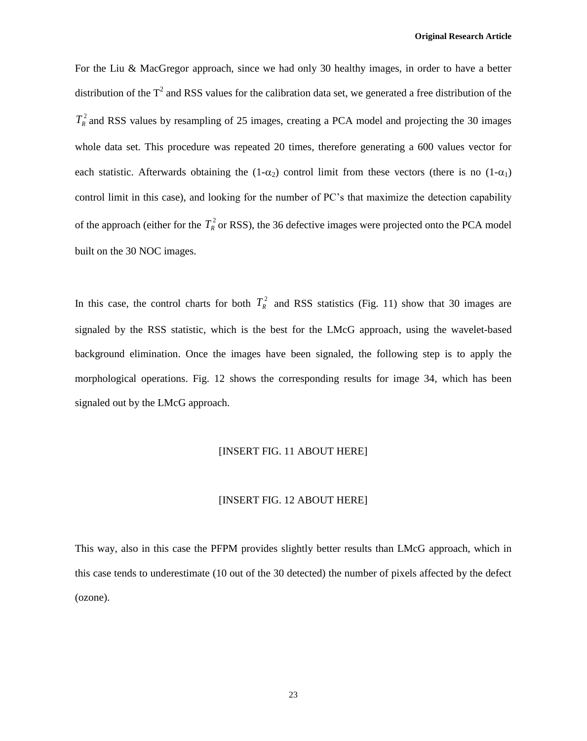For the Liu & MacGregor approach, since we had only 30 healthy images, in order to have a better distribution of the  $T^2$  and RSS values for the calibration data set, we generated a free distribution of the  $T_R^2$  and RSS values by resampling of 25 images, creating a PCA model and projecting the 30 images whole data set. This procedure was repeated 20 times, therefore generating a 600 values vector for each statistic. Afterwards obtaining the  $(1-\alpha_2)$  control limit from these vectors (there is no  $(1-\alpha_1)$ ) control limit in this case), and looking for the number of PC's that maximize the detection capability of the approach (either for the  $T_R^2$  or RSS), the 36 defective images were projected onto the PCA model built on the 30 NOC images.

In this case, the control charts for both  $T_R^2$  and RSS statistics (Fig. 11) show that 30 images are signaled by the RSS statistic, which is the best for the LMcG approach, using the wavelet-based background elimination. Once the images have been signaled, the following step is to apply the morphological operations. Fig. 12 shows the corresponding results for image 34, which has been signaled out by the LMcG approach.

# [INSERT FIG. 11 ABOUT HERE]

# [INSERT FIG. 12 ABOUT HERE]

This way, also in this case the PFPM provides slightly better results than LMcG approach, which in this case tends to underestimate (10 out of the 30 detected) the number of pixels affected by the defect (ozone).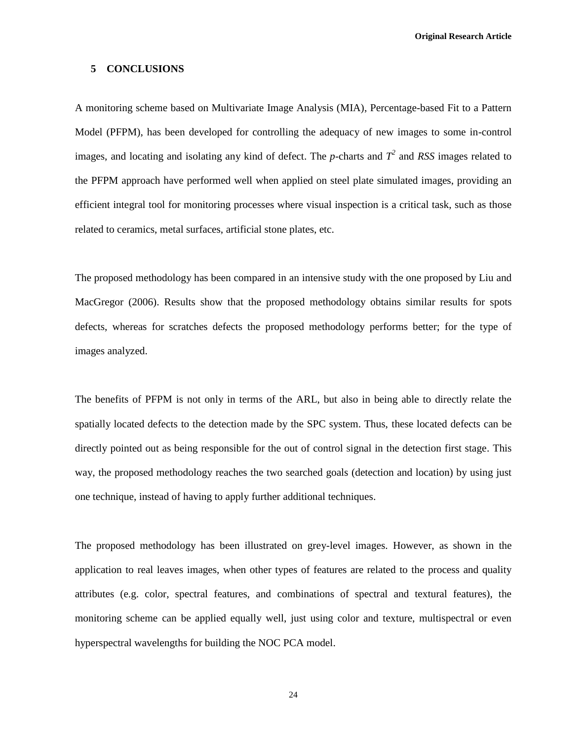#### **5 CONCLUSIONS**

A monitoring scheme based on Multivariate Image Analysis (MIA), Percentage-based Fit to a Pattern Model (PFPM), has been developed for controlling the adequacy of new images to some in-control images, and locating and isolating any kind of defect. The *p*-charts and  $T^2$  and RSS images related to the PFPM approach have performed well when applied on steel plate simulated images, providing an efficient integral tool for monitoring processes where visual inspection is a critical task, such as those related to ceramics, metal surfaces, artificial stone plates, etc.

The proposed methodology has been compared in an intensive study with the one proposed by Liu and MacGregor (2006). Results show that the proposed methodology obtains similar results for spots defects, whereas for scratches defects the proposed methodology performs better; for the type of images analyzed.

The benefits of PFPM is not only in terms of the ARL, but also in being able to directly relate the spatially located defects to the detection made by the SPC system. Thus, these located defects can be directly pointed out as being responsible for the out of control signal in the detection first stage. This way, the proposed methodology reaches the two searched goals (detection and location) by using just one technique, instead of having to apply further additional techniques.

The proposed methodology has been illustrated on grey-level images. However, as shown in the application to real leaves images, when other types of features are related to the process and quality attributes (e.g. color, spectral features, and combinations of spectral and textural features), the monitoring scheme can be applied equally well, just using color and texture, multispectral or even hyperspectral wavelengths for building the NOC PCA model.

24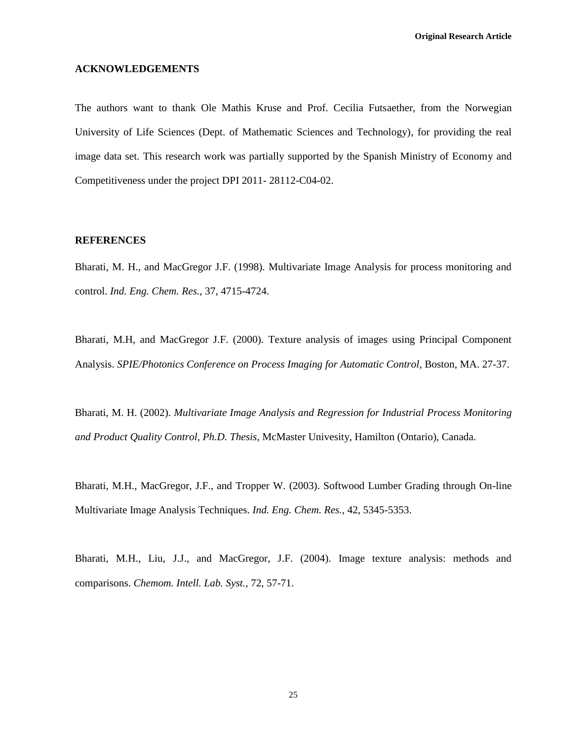# **ACKNOWLEDGEMENTS**

The authors want to thank Ole Mathis Kruse and Prof. Cecilia Futsaether, from the Norwegian University of Life Sciences (Dept. of Mathematic Sciences and Technology), for providing the real image data set. This research work was partially supported by the Spanish Ministry of Economy and Competitiveness under the project DPI 2011- 28112-C04-02.

#### **REFERENCES**

Bharati, M. H., and MacGregor J.F. (1998). Multivariate Image Analysis for process monitoring and control. *Ind. Eng. Chem. Res.*, 37, 4715-4724.

Bharati, M.H, and MacGregor J.F. (2000). Texture analysis of images using Principal Component Analysis. *SPIE/Photonics Conference on Process Imaging for Automatic Control*, Boston, MA. 27-37.

Bharati, M. H. (2002). *Multivariate Image Analysis and Regression for Industrial Process Monitoring and Product Quality Control, Ph.D. Thesis*, McMaster Univesity, Hamilton (Ontario), Canada.

Bharati, M.H., MacGregor, J.F., and Tropper W. (2003). Softwood Lumber Grading through On-line Multivariate Image Analysis Techniques. *Ind. Eng. Chem. Res.*, 42, 5345-5353.

Bharati, M.H., Liu, J.J., and MacGregor, J.F. (2004). Image texture analysis: methods and comparisons. *Chemom. Intell. Lab. Syst.*, 72, 57-71.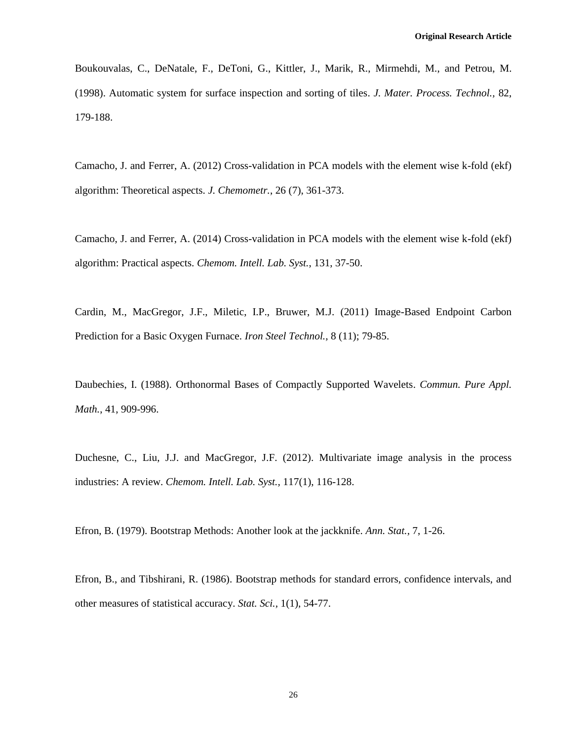Boukouvalas, C., DeNatale, F., DeToni, G., Kittler, J., Marik, R., Mirmehdi, M., and Petrou, M. (1998). Automatic system for surface inspection and sorting of tiles. *J. Mater. Process. Technol.,* 82, 179-188.

Camacho, J. and Ferrer, A. (2012) Cross-validation in PCA models with the element wise k-fold (ekf) algorithm: Theoretical aspects. *J. Chemometr.*, 26 (7), 361-373.

Camacho, J. and Ferrer, A. (2014) Cross-validation in PCA models with the element wise k-fold (ekf) algorithm: Practical aspects. *Chemom. Intell. Lab. Syst.*, 131, 37-50.

Cardin, M., MacGregor, J.F., Miletic, I.P., Bruwer, M.J. (2011) Image-Based Endpoint Carbon Prediction for a Basic Oxygen Furnace. *Iron Steel Technol.,* 8 (11); 79-85.

Daubechies, I. (1988). Orthonormal Bases of Compactly Supported Wavelets. *Commun. Pure Appl. Math.*, 41, 909-996.

Duchesne, C., Liu, J.J. and MacGregor, J.F. (2012). Multivariate image analysis in the process industries: A review. *Chemom. Intell. Lab. Syst.,* 117(1), 116-128.

Efron, B. (1979). Bootstrap Methods: Another look at the jackknife. *Ann. Stat.,* 7, 1-26.

Efron, B., and Tibshirani, R. (1986). Bootstrap methods for standard errors, confidence intervals, and other measures of statistical accuracy. *Stat. Sci.,* 1(1), 54-77.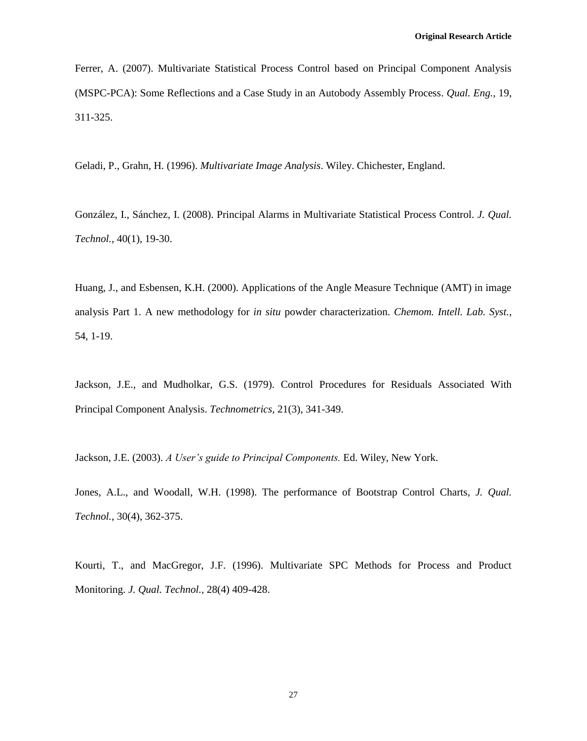Ferrer, A. (2007). Multivariate Statistical Process Control based on Principal Component Analysis (MSPC-PCA): Some Reflections and a Case Study in an Autobody Assembly Process. *Qual. Eng.,* 19, 311-325.

Geladi, P., Grahn, H. (1996). *Multivariate Image Analysis*. Wiley. Chichester, England.

González, I., Sánchez, I. (2008). Principal Alarms in Multivariate Statistical Process Control. *J. Qual. Technol.*, 40(1), 19-30.

Huang, J., and Esbensen, K.H. (2000). Applications of the Angle Measure Technique (AMT) in image analysis Part 1. A new methodology for *in situ* powder characterization. *Chemom. Intell. Lab. Syst.,* 54, 1-19.

Jackson, J.E., and Mudholkar, G.S. (1979). Control Procedures for Residuals Associated With Principal Component Analysis. *Technometrics,* 21(3), 341-349.

Jackson, J.E. (2003). *A User's guide to Principal Components.* Ed. Wiley, New York.

Jones, A.L., and Woodall, W.H. (1998). The performance of Bootstrap Control Charts, *J. Qual. Technol.*, 30(4), 362-375.

Kourti, T., and MacGregor, J.F. (1996). Multivariate SPC Methods for Process and Product Monitoring. *J. Qual. Technol.,* 28(4) 409-428.

27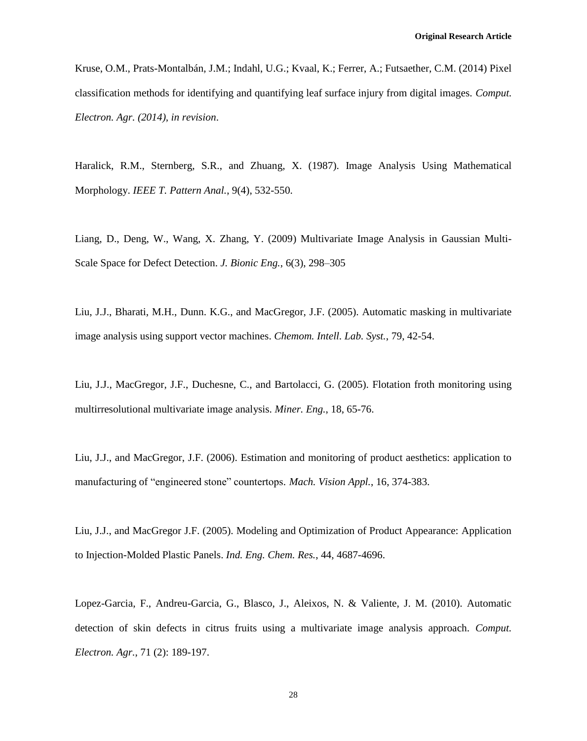Kruse, O.M., Prats-Montalbán, J.M.; Indahl, U.G.; Kvaal, K.; Ferrer, A.; Futsaether, C.M. (2014) Pixel classification methods for identifying and quantifying leaf surface injury from digital images. *Comput. Electron. Agr. (2014), in revision*.

Haralick, R.M., Sternberg, S.R., and Zhuang, X. (1987). Image Analysis Using Mathematical Morphology. *IEEE T. Pattern Anal.*, 9(4), 532-550.

Liang, D., Deng, W., Wang, X. Zhang, Y. (2009) Multivariate Image Analysis in Gaussian Multi-Scale Space for Defect Detection. *J. Bionic Eng.*, 6(3), 298–305

Liu, J.J., Bharati, M.H., Dunn. K.G., and MacGregor, J.F. (2005). Automatic masking in multivariate image analysis using support vector machines. *Chemom. Intell. Lab. Syst.*, 79, 42-54.

Liu, J.J., MacGregor, J.F., Duchesne, C., and Bartolacci, G. (2005). Flotation froth monitoring using multirresolutional multivariate image analysis. *Miner. Eng.*, 18, 65-76.

Liu, J.J., and MacGregor, J.F. (2006). Estimation and monitoring of product aesthetics: application to manufacturing of "engineered stone" countertops. *Mach. Vision Appl.*, 16, 374-383.

Liu, J.J., and MacGregor J.F. (2005). Modeling and Optimization of Product Appearance: Application to Injection-Molded Plastic Panels. *Ind. Eng. Chem. Res.*, 44, 4687-4696.

Lopez-Garcia, F., Andreu-Garcia, G., Blasco, J., Aleixos, N. & Valiente, J. M. (2010). Automatic detection of skin defects in citrus fruits using a multivariate image analysis approach. *Comput. Electron. Agr.*, 71 (2): 189-197.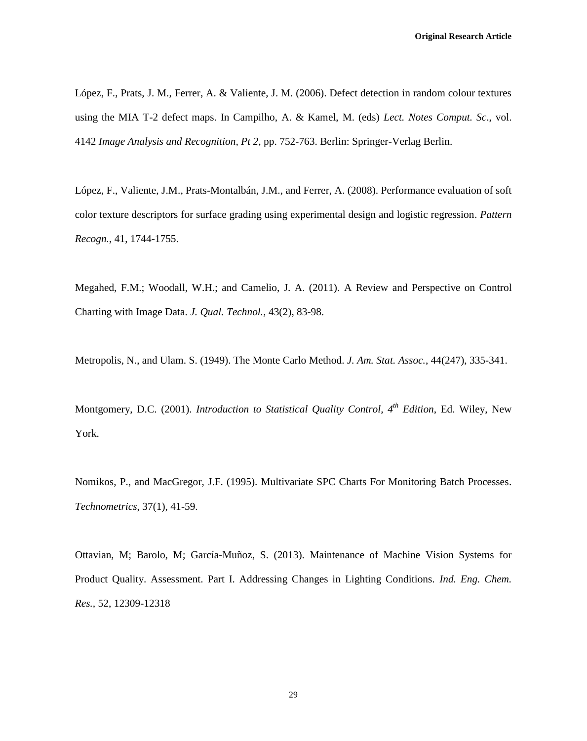López, F., Prats, J. M., Ferrer, A. & Valiente, J. M. (2006). Defect detection in random colour textures using the MIA T-2 defect maps. In Campilho, A. & Kamel, M. (eds) *Lect. Notes Comput. Sc*., vol. 4142 *Image Analysis and Recognition, Pt 2*, pp. 752-763. Berlin: Springer-Verlag Berlin.

López, F., Valiente, J.M., Prats-Montalbán, J.M., and Ferrer, A. (2008). Performance evaluation of soft color texture descriptors for surface grading using experimental design and logistic regression. *Pattern Recogn.*, 41, 1744-1755.

Megahed, F.M.; Woodall, W.H.; and Camelio, J. A. (2011). A Review and Perspective on Control Charting with Image Data. *J. Qual. Technol.,* 43(2), 83-98.

Metropolis, N., and Ulam. S. (1949). The Monte Carlo Method. *J. Am. Stat. Assoc.*, 44(247), 335-341.

Montgomery, D.C. (2001). *Introduction to Statistical Quality Control, 4th Edition*, Ed. Wiley, New York.

Nomikos, P., and MacGregor, J.F. (1995). Multivariate SPC Charts For Monitoring Batch Processes. *Technometrics*, 37(1), 41-59.

Ottavian, M; Barolo, M; García-Muñoz, S. (2013). Maintenance of Machine Vision Systems for Product Quality. Assessment. Part I. Addressing Changes in Lighting Conditions. *Ind. Eng. Chem. Res.,* 52, 12309-12318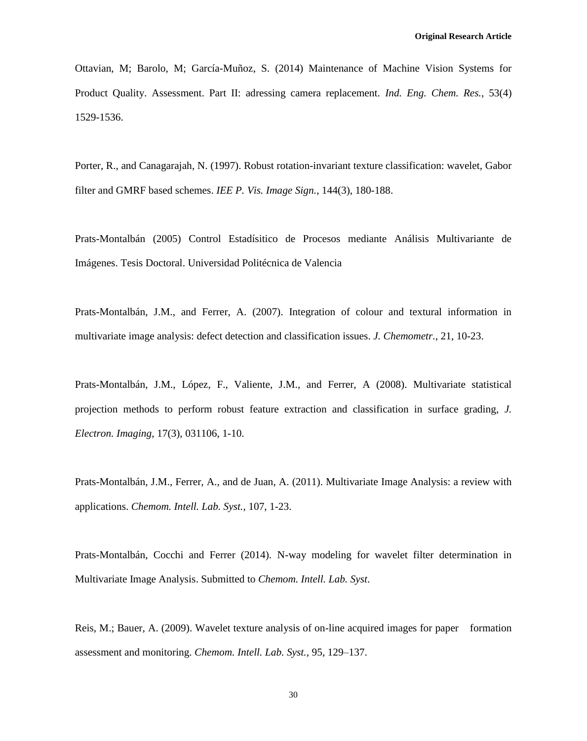Ottavian, M; Barolo, M; García-Muñoz, S. (2014) Maintenance of Machine Vision Systems for Product Quality. Assessment. Part II: adressing camera replacement. *Ind. Eng. Chem. Res.*, 53(4) 1529-1536.

Porter, R., and Canagarajah, N. (1997). Robust rotation-invariant texture classification: wavelet, Gabor filter and GMRF based schemes. *IEE P. Vis. Image Sign.*, 144(3), 180-188.

Prats-Montalbán (2005) Control Estadísitico de Procesos mediante Análisis Multivariante de Imágenes. Tesis Doctoral. Universidad Politécnica de Valencia

Prats-Montalbán, J.M., and Ferrer, A. (2007). Integration of colour and textural information in multivariate image analysis: defect detection and classification issues. *J. Chemometr.*, 21, 10-23.

Prats-Montalbán, J.M., López, F., Valiente, J.M., and Ferrer, A (2008). Multivariate statistical projection methods to perform robust feature extraction and classification in surface grading, *J. Electron. Imaging*, 17(3), 031106, 1-10.

Prats-Montalbán, J.M., Ferrer, A., and de Juan, A. (2011). Multivariate Image Analysis: a review with applications. *Chemom. Intell. Lab. Syst.*, 107, 1-23.

Prats-Montalbán, Cocchi and Ferrer (2014). N-way modeling for wavelet filter determination in Multivariate Image Analysis. Submitted to *Chemom. Intell. Lab. Syst*.

Reis, M.; Bauer, A. (2009). Wavelet texture analysis of on-line acquired images for paper formation assessment and monitoring. *Chemom. Intell. Lab. Syst.,* 95, 129–137.